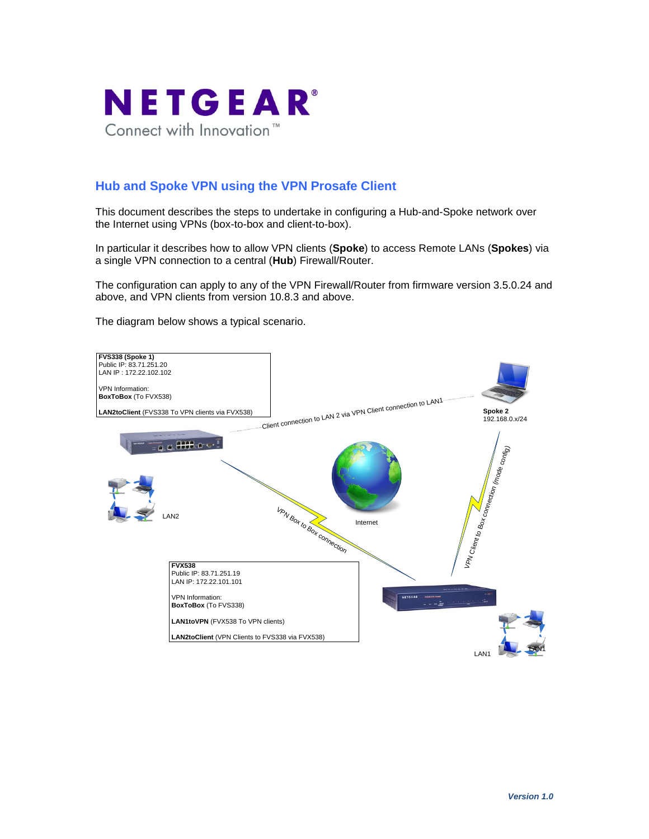

# **Hub and Spoke VPN using the VPN Prosafe Client**

This document describes the steps to undertake in configuring a Hub-and-Spoke network over the Internet using VPNs (box-to-box and client-to-box).

In particular it describes how to allow VPN clients (**Spoke**) to access Remote LANs (**Spokes**) via a single VPN connection to a central (**Hub**) Firewall/Router.

The configuration can apply to any of the VPN Firewall/Router from firmware version 3.5.0.24 and above, and VPN clients from version 10.8.3 and above.

The diagram below shows a typical scenario.

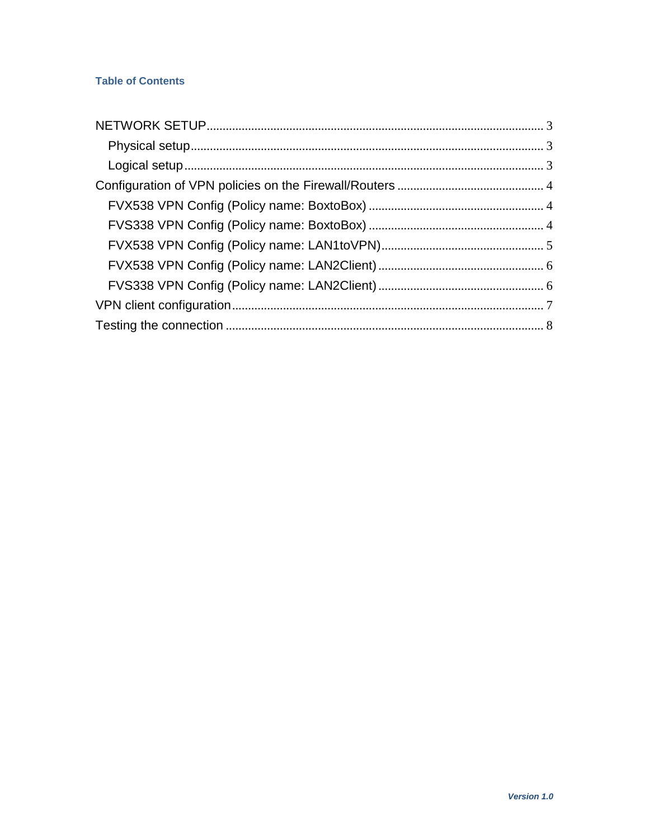## **Table of Contents**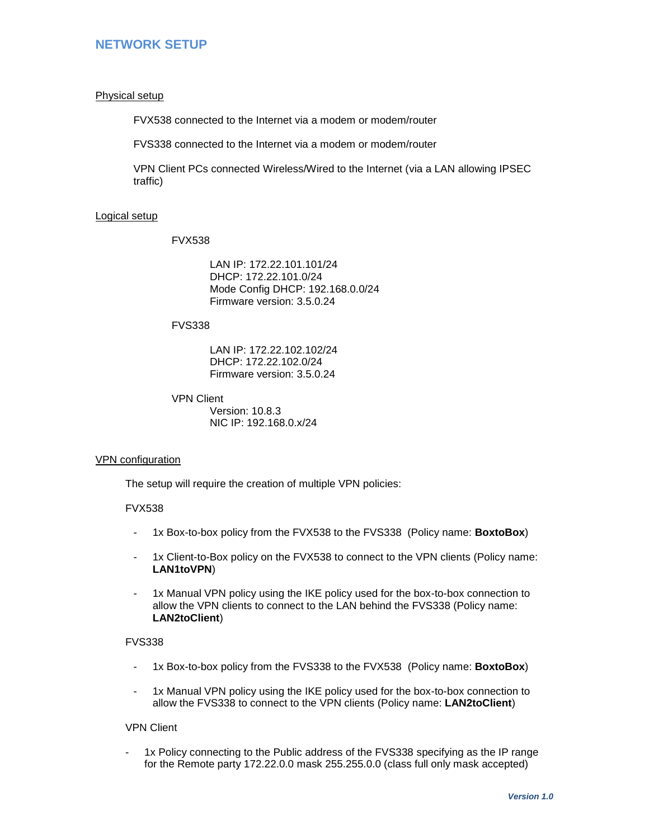## <span id="page-2-0"></span>**NETWORK SETUP**

#### <span id="page-2-1"></span>Physical setup

FVX538 connected to the Internet via a modem or modem/router

FVS338 connected to the Internet via a modem or modem/router

VPN Client PCs connected Wireless/Wired to the Internet (via a LAN allowing IPSEC traffic)

#### <span id="page-2-2"></span>Logical setup

FVX538

LAN IP: 172.22.101.101/24 DHCP: 172.22.101.0/24 Mode Config DHCP: 192.168.0.0/24 Firmware version: 3.5.0.24

#### FVS338

LAN IP: 172.22.102.102/24 DHCP: 172.22.102.0/24 Firmware version: 3.5.0.24

VPN Client Version: 10.8.3 NIC IP: 192.168.0.x/24

#### VPN configuration

The setup will require the creation of multiple VPN policies:

#### FVX538

- 1x Box-to-box policy from the FVX538 to the FVS338 (Policy name: **BoxtoBox**)
- 1x Client-to-Box policy on the FVX538 to connect to the VPN clients (Policy name: **LAN1toVPN**)
- 1x Manual VPN policy using the IKE policy used for the box-to-box connection to allow the VPN clients to connect to the LAN behind the FVS338 (Policy name: **LAN2toClient**)

#### FVS338

- 1x Box-to-box policy from the FVS338 to the FVX538 (Policy name: **BoxtoBox**)
- 1x Manual VPN policy using the IKE policy used for the box-to-box connection to allow the FVS338 to connect to the VPN clients (Policy name: **LAN2toClient**)

#### VPN Client

- 1x Policy connecting to the Public address of the FVS338 specifying as the IP range for the Remote party 172.22.0.0 mask 255.255.0.0 (class full only mask accepted)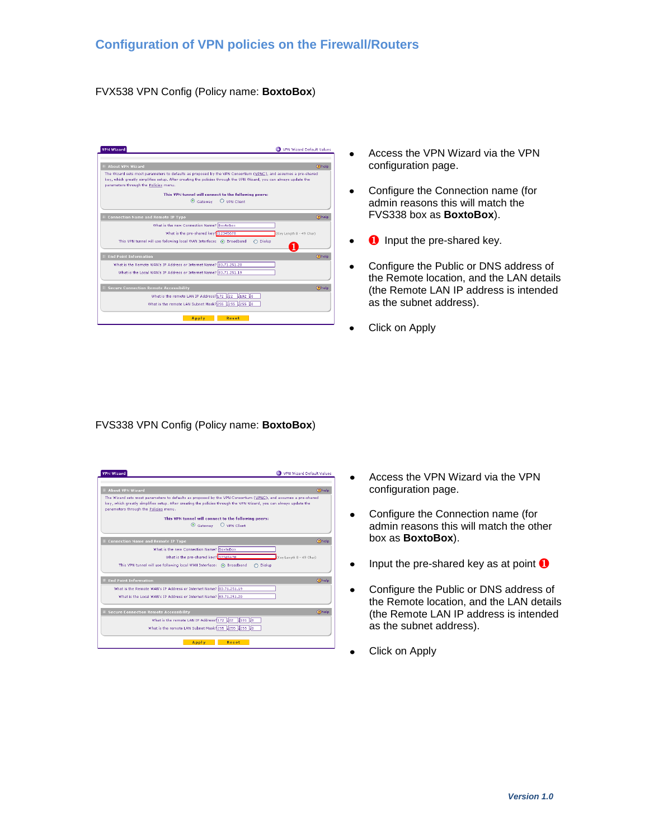#### <span id="page-3-1"></span><span id="page-3-0"></span>FVX538 VPN Config (Policy name: **BoxtoBox**)

| <b>VPN Wizard</b>                                                                                                                                                                                                                                                             | WPN Wizard Default Values |
|-------------------------------------------------------------------------------------------------------------------------------------------------------------------------------------------------------------------------------------------------------------------------------|---------------------------|
| E About VPN Wizard                                                                                                                                                                                                                                                            | 2 help                    |
| The Wizard sets most parameters to defaults as proposed by the VPN Consortium (VPNC), and assumes a pre-shared<br>key, which greatly simplifies setup. After creating the policies through the VPN Wizard, you can always update the<br>parameters through the Policies menu. |                           |
| This VPN tunnel will connect to the following peers:                                                                                                                                                                                                                          |                           |
| $\odot$ Gateway $\odot$ VPN Client                                                                                                                                                                                                                                            |                           |
| <b>E Connection Name and Remote IP Type</b>                                                                                                                                                                                                                                   | (?) help                  |
| What is the new Connection Name? BoxtoBox                                                                                                                                                                                                                                     |                           |
| What is the pre-shared key? 12345678                                                                                                                                                                                                                                          | (Key Length 8 - 49 Char)  |
| This VPN tunnel will use following local WAN Interface: (6) Broadband                                                                                                                                                                                                         | O Dialup                  |
| <b>End Point Information</b>                                                                                                                                                                                                                                                  | (2) help                  |
| What is the Remote WAN's IP Address or Internet Name? 83.71.251.20                                                                                                                                                                                                            |                           |
| What is the Local WAN's IP Address or Internet Name? 83.71.251.19                                                                                                                                                                                                             |                           |
| <b>Ellipse Connection Remote Accessibility</b>                                                                                                                                                                                                                                | (?) help                  |
| What is the remote LAN IP Address? 172 22 102 0                                                                                                                                                                                                                               |                           |
| What is the remote LAN Subnet Mask?255 .255 .255 .0                                                                                                                                                                                                                           |                           |
| Apply                                                                                                                                                                                                                                                                         | Reset                     |

- Access the VPN Wizard via the VPN  $\bullet$ configuration page.
- Configure the Connection name (for admin reasons this will match the FVS338 box as **BoxtoBox**).
- **0** Input the pre-shared key.
- Configure the Public or DNS address of the Remote location, and the LAN details (the Remote LAN IP address is intended as the subnet address).
- Click on Apply  $\bullet$

#### <span id="page-3-2"></span>FVS338 VPN Config (Policy name: **BoxtoBox**)

| <b>VPN Wizard</b>                                                                                                                                                                                                                                                             | VPN Wizard Default Values |
|-------------------------------------------------------------------------------------------------------------------------------------------------------------------------------------------------------------------------------------------------------------------------------|---------------------------|
| <b>E About VPN Wizard</b>                                                                                                                                                                                                                                                     | (?) help                  |
| The Wizard sets most parameters to defaults as proposed by the VPN Consortium (VPNC), and assumes a pre-shared<br>key, which greatly simplifies setup. After creating the policies through the VPN Wizard, you can always update the<br>parameters through the Policies menu. |                           |
| This VPN tunnel will connect to the following peers:                                                                                                                                                                                                                          |                           |
| $\odot$ Gateway $\odot$ VPN Client                                                                                                                                                                                                                                            |                           |
|                                                                                                                                                                                                                                                                               |                           |
| # Connection Name and Remote IP Type                                                                                                                                                                                                                                          | <b>Ohelp</b>              |
| What is the new Connection Name? BoxtoBox                                                                                                                                                                                                                                     |                           |
| What is the pre-shared kev? 12345678                                                                                                                                                                                                                                          | Key Length 8 - 49 Char)   |
| This VPN tunnel will use following local WAN Interface: (a) Broadband                                                                                                                                                                                                         | Dialup                    |
|                                                                                                                                                                                                                                                                               |                           |
| <b>End Point Information</b>                                                                                                                                                                                                                                                  | <b>Ohelp</b>              |
| What is the Remote WAN's IP Address or Internet Name? 83.71.251.19                                                                                                                                                                                                            |                           |
| What is the Local WAN's IP Address or Internet Name? 83.71.251.20                                                                                                                                                                                                             |                           |
|                                                                                                                                                                                                                                                                               |                           |
| <b>E Secure Connection Remote Accessibility</b>                                                                                                                                                                                                                               | 2help                     |
| What is the remote LAN IP Address? 172 .22 .101 .0                                                                                                                                                                                                                            |                           |
| What is the remote LAN Subnet Mask? 255 .255 .255 .0                                                                                                                                                                                                                          |                           |
|                                                                                                                                                                                                                                                                               |                           |
| Reset<br>Apply                                                                                                                                                                                                                                                                |                           |

- Access the VPN Wizard via the VPN  $\bullet$ configuration page.
- Configure the Connection name (for  $\bullet$ admin reasons this will match the other box as **BoxtoBox**).
- Input the pre-shared key as at point  $\bullet$
- Configure the Public or DNS address of  $\bullet$ the Remote location, and the LAN details (the Remote LAN IP address is intended as the subnet address).
- Click on Apply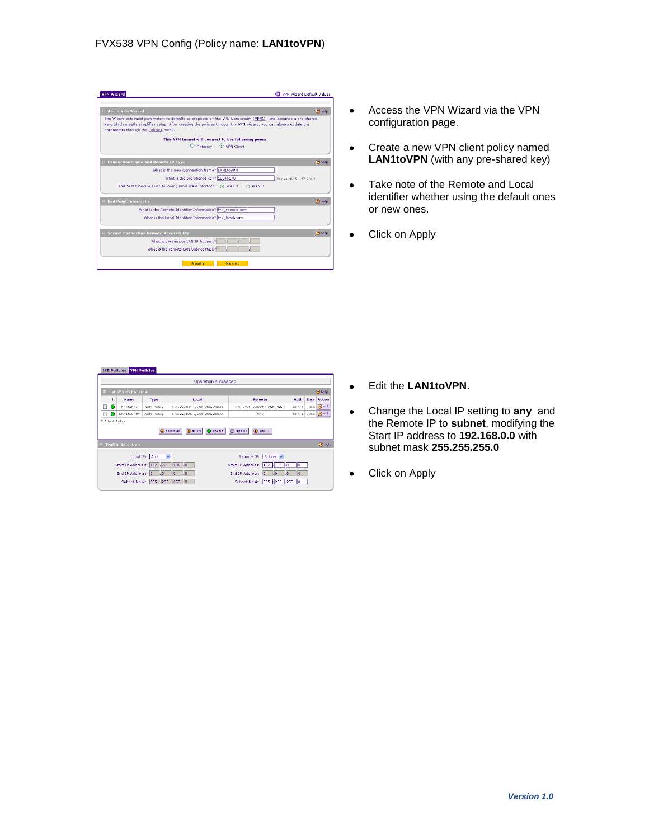<span id="page-4-0"></span>

| <b>VPN Wizard</b>                                                                                                                                                                                                                                                             | O VPN Wizard Default Values                          |
|-------------------------------------------------------------------------------------------------------------------------------------------------------------------------------------------------------------------------------------------------------------------------------|------------------------------------------------------|
| E About VPN Wizard                                                                                                                                                                                                                                                            | <b>Ohelp</b>                                         |
| The Wizard sets most parameters to defaults as proposed by the VPN Consortium (VPNC), and assumes a pre-shared<br>key, which greatly simplifies setup. After creating the policies through the VPN Wizard, you can always update the<br>parameters through the Policies menu. |                                                      |
|                                                                                                                                                                                                                                                                               | This VPN tunnel will connect to the following peers: |
|                                                                                                                                                                                                                                                                               | O Gateway © VPN Client                               |
| E Connection Name and Remote IP Type                                                                                                                                                                                                                                          | (?) help                                             |
| What is the new Connection Name? LAN1toVPN                                                                                                                                                                                                                                    |                                                      |
| What is the pre-shared key? 12345678                                                                                                                                                                                                                                          | (Key Length 8 - 49 Char)                             |
| This VPN tunnel will use following local WAN Interface: (6) WAN 1                                                                                                                                                                                                             | WAN 2                                                |
| <b>End Point Information</b>                                                                                                                                                                                                                                                  | (2) help                                             |
| What is the Remote Identifier Information? fvx_remote.com                                                                                                                                                                                                                     |                                                      |
| What is the Local Identifier Information? fvx_local.com                                                                                                                                                                                                                       |                                                      |
| <b>El Secure Connection Remote Accessibility</b>                                                                                                                                                                                                                              | (?) help                                             |
| What is the remote LAN IP Address?                                                                                                                                                                                                                                            |                                                      |
| What is the remote LAN Subnet Mask?                                                                                                                                                                                                                                           |                                                      |
| Apply                                                                                                                                                                                                                                                                         | Reset                                                |

- $\bullet$ Access the VPN Wizard via the VPN configuration page.
- Create a new VPN client policy named  $\bullet$ **LAN1toVPN** (with any pre-shared key)
- Take note of the Remote and Local  $\bullet$ identifier whether using the default ones or new ones.
- Click on Apply

| Operation succeeded.<br><b>EList of VPN Policies</b> |   |                                |                                     |                                    |                                                                  |                   |      |               |
|------------------------------------------------------|---|--------------------------------|-------------------------------------|------------------------------------|------------------------------------------------------------------|-------------------|------|---------------|
|                                                      |   |                                |                                     |                                    | 2 help                                                           |                   |      |               |
|                                                      | ٠ | Name                           | <b>Type</b>                         | <b>Local</b>                       | Remote                                                           | Auth              | Encr | Action        |
| Е                                                    |   | BoxtoBox                       | Auto Policy                         | 172.22.101.0/255.255.255.0         | 172.22.102.0/255.255.255.0                                       | SHA-1             | 3DES | <b>O</b> edit |
|                                                      |   | LAN1toVPN*                     | Auto Policy                         | 172.22.101.0/255.255.255.0         | Any.                                                             | $SHA-1$           |      | 3DES @edit    |
|                                                      |   | * Client Policy                |                                     | Select all<br>enable<br>(x) delete | disable<br>(b) add                                               |                   |      |               |
|                                                      |   | <b>El Traffic Selection</b>    |                                     |                                    |                                                                  |                   |      | 2 help        |
|                                                      |   |                                |                                     | $\mathbf{v}$                       | Remote IP: Subnet w                                              |                   |      |               |
|                                                      |   | Local IP:<br>Start IP Address: | Any<br>172 .22                      | .101.0                             | Start IP Address:<br>192 4168 40                                 | IJо               |      |               |
|                                                      |   | End IP Address:                | $\vert . \vert$ 0<br>$\overline{0}$ | $\Box$<br>l. o                     | End IP Address:<br>$\mathbf{L}$ o<br>$\cdot$ 0<br>$\overline{0}$ | $\vert . \vert 0$ |      |               |

- $\bullet$ Edit the **LAN1toVPN**.
- Change the Local IP setting to **any** and  $\bullet$ the Remote IP to **subnet**, modifying the Start IP address to **192.168.0.0** with subnet mask **255.255.255.0**
- Click on Apply $\bullet$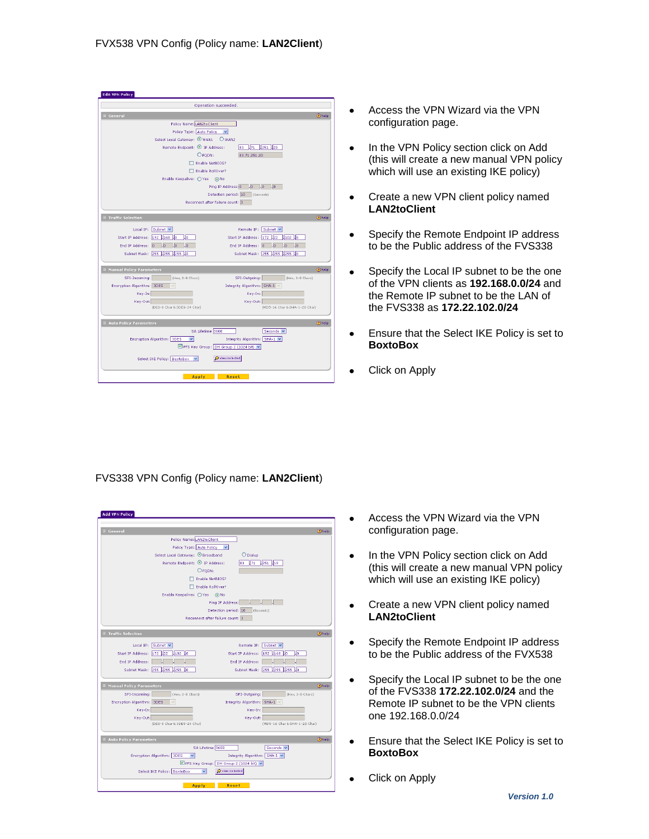<span id="page-5-0"></span>

| <b>Edit VPN Policy</b>                                                                |
|---------------------------------------------------------------------------------------|
| Operation succeeded.                                                                  |
| <b>E General</b><br>2help                                                             |
| Policy Name: LAN2toClient                                                             |
| Policy Type: Auto Policy<br>$\checkmark$                                              |
|                                                                                       |
| Remote Endpoint: <sup>1</sup> IP Address:<br>83<br>$171$ 251 20                       |
| O FQDN:<br>83.71.251.20                                                               |
| Enable NetBIOS?                                                                       |
| Enable RollOver?                                                                      |
| Enable Keepalive: O Yes (a) No                                                        |
| .0 <sub>1</sub><br>$10-1$<br>Ping IP Address: 0<br>$\Box$ 0                           |
| Detection period: 10 (Seconds)                                                        |
| Reconnect after failure count: 3                                                      |
| <b>E Traffic Selection</b><br>(?) help                                                |
| Local IP: Subnet v<br>Remote IP: Subnet v                                             |
| Start IP Address: 192 .168 .0<br>IJō<br>Start IP Address: 172 22 .102 0               |
| End IP Address: 0 .0<br>End IP Address: 0 .0<br>l.lo<br>$\Box$ o<br>Un.<br>0.         |
| Subnet Mask: 255 .255 .255 .0<br>Subnet Mask: 255 255 255 0                           |
|                                                                                       |
| <b>2</b> help<br><b>E Manual Policy Parameters</b>                                    |
| SPI-Incoming: (Hex, 3-8 Chars)<br>SPI-Outgoing: (Hex, 3-8 Chars)                      |
| Encryption Algorithm: 3DES<br>Integrity Algorithm: SHA-1 V                            |
| Key-In:<br>Key-In:                                                                    |
| Key-Out:<br>Key-Out:                                                                  |
| (DES-8 Char & 3DES-24 Char)<br>(MD5-16 Char & SHA-1-20 Char)                          |
| <b>2</b> help<br><b>E Auto Policy Parameters</b>                                      |
| SA Lifetime 3600<br>Seconds v                                                         |
| Encryption Algorithm: 3DES<br>$\overline{\mathbf{v}}$<br>Integrity Algorithm: SHA-1 V |
| PFS Key Group: DH Group 2 (1024 bit) v                                                |
| O view selected<br>Select IKE Policy: BoxtoBox<br>$\checkmark$                        |
|                                                                                       |
|                                                                                       |
| <b>Apply</b><br>Reset                                                                 |

- Access the VPN Wizard via the VPN  $\bullet$ configuration page.
- In the VPN Policy section click on Add  $\bullet$ (this will create a new manual VPN policy which will use an existing IKE policy)
- Create a new VPN client policy named  $\bullet$ **LAN2toClient**
- Specify the Remote Endpoint IP address to be the Public address of the FVS338
- Specify the Local IP subnet to be the one  $\bullet$ of the VPN clients as **192.168.0.0/24** and the Remote IP subnet to be the LAN of the FVS338 as **172.22.102.0/24**
- Ensure that the Select IKE Policy is set to  $\bullet$ **BoxtoBox**
- Click on Apply  $\bullet$

### <span id="page-5-1"></span>FVS338 VPN Config (Policy name: **LAN2Client**)

| <b>El General</b>                  |                                          |                                      | (?) help     |
|------------------------------------|------------------------------------------|--------------------------------------|--------------|
|                                    | Policy Name: LAN2toClient                |                                      |              |
|                                    | Policy Type: Auto Policy<br>$\checkmark$ |                                      |              |
|                                    | Select Local Gateway: C Broadband        | O Dialup                             |              |
|                                    | Remote Endpoint: 9 IP Address:           | 83 <b>171 1251 119</b>               |              |
|                                    | O FODN:                                  |                                      |              |
|                                    | Enable NetBIOS?                          |                                      |              |
|                                    | Enable RollOver?                         |                                      |              |
|                                    | Enable Keepalive: O Yes @ No             |                                      |              |
|                                    | Ping IP Address:                         |                                      |              |
|                                    | Detection period: 10                     | (Seconds)                            |              |
|                                    | Reconnect after failure count: 3         |                                      |              |
| <b>E Traffic Selection</b>         |                                          |                                      | <b>Ohelp</b> |
| Local IP: Subnet v                 |                                          | Remote IP: Subnet v                  |              |
| Start IP Address: 172 22 .102 0    |                                          | Start IP Address: 192 .168 .0<br>IJo |              |
| End IP Address:                    |                                          | End IP Address:                      |              |
| Subnet Mask: 255 255 255 0         |                                          | Subnet Mask: 255 .255 .255 .0        |              |
|                                    |                                          |                                      |              |
| <b>El Manual Policy Parameters</b> |                                          |                                      | <b>Ohelp</b> |
| SPI-Incoming:                      | (Hex. 3-8 Chars)                         | SPI-Outgoing:<br>(Hex. 3-8 Chars)    |              |
| Encryption Algorithm: 3DES         |                                          | Integrity Algorithm: SHA-1 V         |              |
| Key-In:                            |                                          | Key-In:                              |              |
| Key-Out:                           |                                          | Key-Out:                             |              |
| (DES-8 Char & 3DES-24 Char)        |                                          | (MD5-16 Char & SHA-1-20 Char)        |              |
| <b>El Auto Policy Parameters</b>   |                                          |                                      | (2) help     |
|                                    | SA Lifetime 3600                         | Seconds V                            |              |
| Encryption Algorithm: 3DES         | $\blacktriangledown$                     | Integrity Algorithm: SHA-1  v        |              |
|                                    | PFS Key Group: DH Group 2 (1024 bit) v   |                                      |              |
| Select IKE Policy: BoxtoBox        | $\checkmark$                             | O view selected                      |              |

- Access the VPN Wizard via the VPN  $\bullet$ configuration page.
- In the VPN Policy section click on Add  $\bullet$ (this will create a new manual VPN policy which will use an existing IKE policy)
- Create a new VPN client policy named  $\bullet$ **LAN2toClient**
- Specify the Remote Endpoint IP address  $\bullet$ to be the Public address of the FVX538
- $\bullet$ Specify the Local IP subnet to be the one of the FVS338 **172.22.102.0/24** and the Remote IP subnet to be the VPN clients one 192.168.0.0/24
- Ensure that the Select IKE Policy is set to **BoxtoBox**
- Click on Apply $\bullet$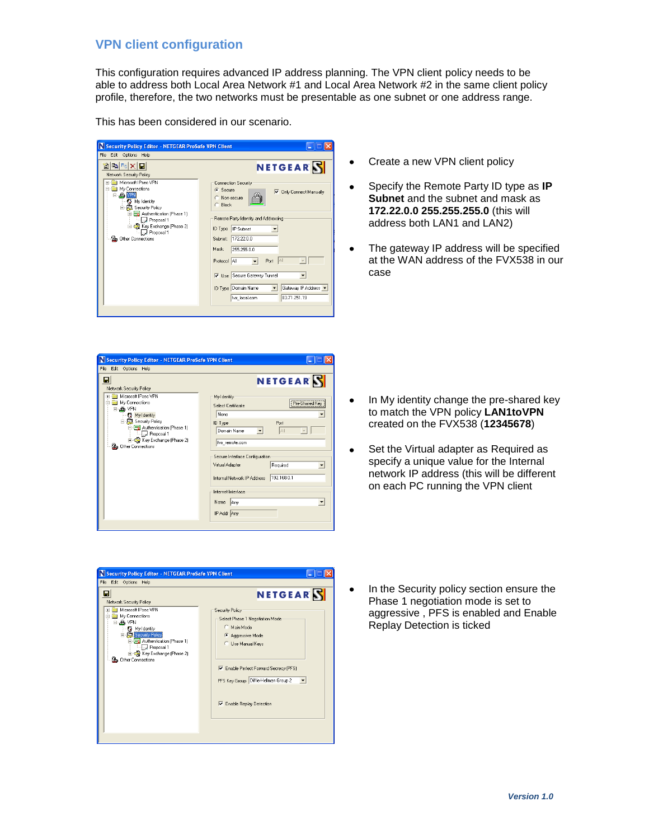## **VPN client configuration**

<span id="page-6-0"></span>This configuration requires advanced IP address planning. The VPN client policy needs to be able to address both Local Area Network #1 and Local Area Network #2 in the same client policy profile, therefore, the two networks must be presentable as one subnet or one address range.

This has been considered in our scenario.

| N Security Policy Editor - NETGEAR ProSafe VPN Client                                                                                                                                                                     |                                                                                                                                                                                                                                                                                                                                                                                  |
|---------------------------------------------------------------------------------------------------------------------------------------------------------------------------------------------------------------------------|----------------------------------------------------------------------------------------------------------------------------------------------------------------------------------------------------------------------------------------------------------------------------------------------------------------------------------------------------------------------------------|
| File<br>Edit Options Help                                                                                                                                                                                                 |                                                                                                                                                                                                                                                                                                                                                                                  |
| $\mathbf{E}[\mathbf{B}_{\mathsf{G}} \mathbf{X}]$<br>創<br>Network Security Policy                                                                                                                                          | NETGEAR                                                                                                                                                                                                                                                                                                                                                                          |
| Microsoft IPsec VPN<br>My Connections<br><b>B</b> VPN<br><b>3</b> My Identity<br>白鳥 Security Policy<br>Authentication [Phase 1]<br>Ĥ.<br>Proposal 1<br>Key Exchange (Phase 2)<br>Proposal 1<br><b>2</b> Other Connections | Connection Security<br>$\bullet$ Secure<br><b>Only Connect Manually</b><br>⊽<br>Non-secure<br><b>Block</b><br>Remote Party Identity and Addressing<br>ID Type<br>IP Subnet<br>172.22.0.0<br>Subnet:<br>Mask:<br>255.255.0.0<br>All<br>Port<br>Protocol All<br><b>▽</b> Use Secure Gateway Tunnel<br>ID Type Domain Name<br>Gateway IP Address -<br>83.71.251.19<br>fvx_local.com |
|                                                                                                                                                                                                                           |                                                                                                                                                                                                                                                                                                                                                                                  |

- $\bullet$ Create a new VPN client policy
- Specify the Remote Party ID type as **IP**   $\bullet$ **Subnet** and the subnet and mask as **172.22.0.0 255.255.255.0** (this will address both LAN1 and LAN2)
- The gateway IP address will be specified  $\bullet$ at the WAN address of the FVX538 in our case

| Security Policy Editor - NETGEAR ProSafe VPN Client                                                                                                                                                                                                       |                                                                                                                                                                                                                                                                                                                        |
|-----------------------------------------------------------------------------------------------------------------------------------------------------------------------------------------------------------------------------------------------------------|------------------------------------------------------------------------------------------------------------------------------------------------------------------------------------------------------------------------------------------------------------------------------------------------------------------------|
|                                                                                                                                                                                                                                                           |                                                                                                                                                                                                                                                                                                                        |
| File Edit Options Help<br>н<br>Network Security Policy<br>Microsoft IPsec VPN<br>My Connections<br><b>B</b> VPN<br>Ny Identity<br>Security Policy<br>Authentication [Phase 1]<br>Proposal 1<br>E Co Key Exchange (Phase 2)<br><b>al</b> Other Connections | NETGEAR<br>Mu Identitu<br><b>Pre-Shared Key</b><br>Select Certificate<br>None<br>ID Type<br>Port<br>Domain Name<br>All<br>fvx_remote.com<br>Secure Interface Configuration<br>Required<br>Virtual Adapter<br>▼<br>192.168.0.1<br>Internal Network IP Address<br>Internet Interface<br>Name Any<br>$\blacktriangledown$ |
|                                                                                                                                                                                                                                                           | IP Addr Any                                                                                                                                                                                                                                                                                                            |
|                                                                                                                                                                                                                                                           |                                                                                                                                                                                                                                                                                                                        |

- $\bullet$ In My identity change the pre-shared key to match the VPN policy **LAN1toVPN**  created on the FVX538 (**12345678**)
- Set the Virtual adapter as Required as  $\bullet$ specify a unique value for the Internal network IP address (this will be different on each PC running the VPN client



In the Security policy section ensure the  $\bullet$ Phase 1 negotiation mode is set to aggressive , PFS is enabled and Enable Replay Detection is ticked